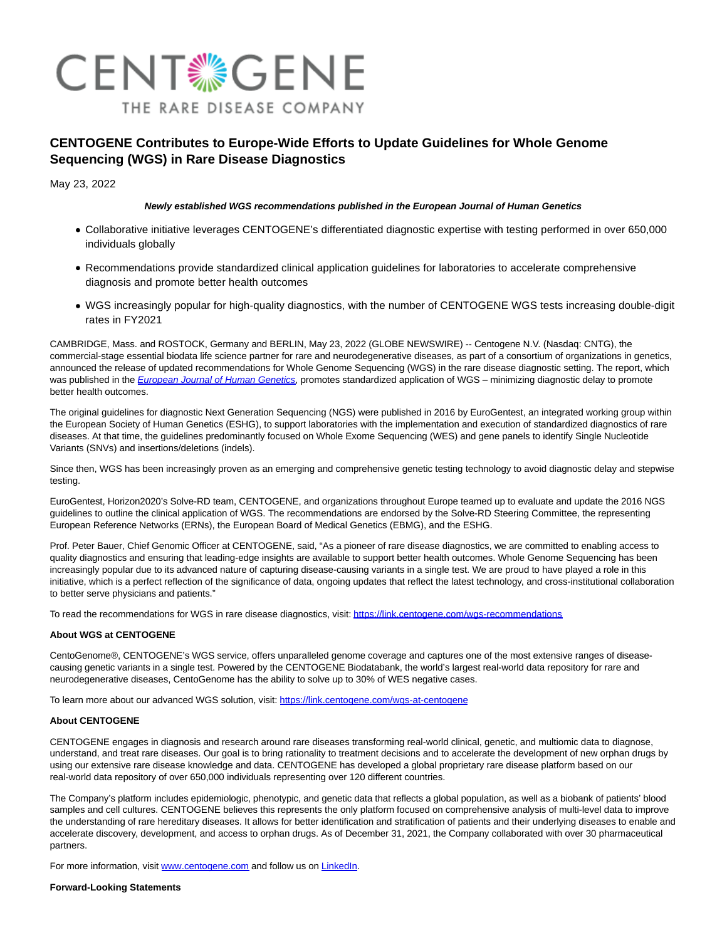

# **CENTOGENE Contributes to Europe-Wide Efforts to Update Guidelines for Whole Genome Sequencing (WGS) in Rare Disease Diagnostics**

May 23, 2022

# **Newly established WGS recommendations published in the European Journal of Human Genetics**

- Collaborative initiative leverages CENTOGENE's differentiated diagnostic expertise with testing performed in over 650,000 individuals globally
- Recommendations provide standardized clinical application guidelines for laboratories to accelerate comprehensive diagnosis and promote better health outcomes
- WGS increasingly popular for high-quality diagnostics, with the number of CENTOGENE WGS tests increasing double-digit rates in FY2021

CAMBRIDGE, Mass. and ROSTOCK, Germany and BERLIN, May 23, 2022 (GLOBE NEWSWIRE) -- Centogene N.V. (Nasdaq: CNTG), the commercial-stage essential biodata life science partner for rare and neurodegenerative diseases, as part of a consortium of organizations in genetics, announced the release of updated recommendations for Whole Genome Sequencing (WGS) in the rare disease diagnostic setting. The report, which was published in the *[European Journal of Human Genetics](https://www.globenewswire.com/Tracker?data=gtixHxdCYWLndxBou2yCdJQhtymnXQuSovLluRgWHJk-fHJrQlueoTlbVUGLhT3e6YwJ-QzY2pGQZC_E-HsBg_G1G-xzDZgB5wSTHyVx6pTGXOFdEhAkfZS2wEU6k4vce6JVcT_LqmTd0jdNXBF42g==)*, promotes standardized application of WGS – minimizing diagnostic delay to promote better health outcomes.

The original guidelines for diagnostic Next Generation Sequencing (NGS) were published in 2016 by EuroGentest, an integrated working group within the European Society of Human Genetics (ESHG), to support laboratories with the implementation and execution of standardized diagnostics of rare diseases. At that time, the guidelines predominantly focused on Whole Exome Sequencing (WES) and gene panels to identify Single Nucleotide Variants (SNVs) and insertions/deletions (indels).

Since then, WGS has been increasingly proven as an emerging and comprehensive genetic testing technology to avoid diagnostic delay and stepwise testing.

EuroGentest, Horizon2020's Solve-RD team, CENTOGENE, and organizations throughout Europe teamed up to evaluate and update the 2016 NGS guidelines to outline the clinical application of WGS. The recommendations are endorsed by the Solve-RD Steering Committee, the representing European Reference Networks (ERNs), the European Board of Medical Genetics (EBMG), and the ESHG.

Prof. Peter Bauer, Chief Genomic Officer at CENTOGENE, said, "As a pioneer of rare disease diagnostics, we are committed to enabling access to quality diagnostics and ensuring that leading-edge insights are available to support better health outcomes. Whole Genome Sequencing has been increasingly popular due to its advanced nature of capturing disease-causing variants in a single test. We are proud to have played a role in this initiative, which is a perfect reflection of the significance of data, ongoing updates that reflect the latest technology, and cross-institutional collaboration to better serve physicians and patients."

To read the recommendations for WGS in rare disease diagnostics, visit: [https://link.centogene.com/wgs-recommendations](https://www.globenewswire.com/Tracker?data=zaWS8Iy59NFdaSj4TMJwHxWXllph7ogGqEcym1b3Xaa3ugPOjTfuVRhtYfeIMX8DHlCDd259JQbmp26O9jJiEq7oF-Jx3QIebNo9RLubtWvzY-BwBsvG0qmPQ6xgrCGf1rjHKfnNSaANrdfw6YqtGGa7MuL83_0NMYUnJIeXSbk=)

## **About WGS at CENTOGENE**

CentoGenome®, CENTOGENE's WGS service, offers unparalleled genome coverage and captures one of the most extensive ranges of diseasecausing genetic variants in a single test. Powered by the CENTOGENE Biodatabank, the world's largest real-world data repository for rare and neurodegenerative diseases, CentoGenome has the ability to solve up to 30% of WES negative cases.

To learn more about our advanced WGS solution, visit: [https://link.centogene.com/wgs-at-centogene](https://www.globenewswire.com/Tracker?data=zaWS8Iy59NFdaSj4TMJwHxWXllph7ogGqEcym1b3XabOI-6Way4qJ6_jK4AZJ1dhv8ln2unXb1cvTbxhYd7vzO1IfDSfcsWTQIvQbNAn6hWoSKirIWcSDr01yjuy_jTGcQ0gP79noEzYOKV6h77xkw==)

#### **About CENTOGENE**

CENTOGENE engages in diagnosis and research around rare diseases transforming real-world clinical, genetic, and multiomic data to diagnose, understand, and treat rare diseases. Our goal is to bring rationality to treatment decisions and to accelerate the development of new orphan drugs by using our extensive rare disease knowledge and data. CENTOGENE has developed a global proprietary rare disease platform based on our real-world data repository of over 650,000 individuals representing over 120 different countries.

The Company's platform includes epidemiologic, phenotypic, and genetic data that reflects a global population, as well as a biobank of patients' blood samples and cell cultures. CENTOGENE believes this represents the only platform focused on comprehensive analysis of multi-level data to improve the understanding of rare hereditary diseases. It allows for better identification and stratification of patients and their underlying diseases to enable and accelerate discovery, development, and access to orphan drugs. As of December 31, 2021, the Company collaborated with over 30 pharmaceutical partners.

For more information, visit [www.centogene.com a](https://www.globenewswire.com/Tracker?data=qwWSKbwktlBZsG8yD27z7OCMXfJUXlkMR5OC9Bs_WIg0y6cs3iMlKYSOiD3KgzanqZthUSJE0R4GPIOdArWri1eQcHPvi5-cOeILCJQn0pE=)nd follow us on [LinkedIn.](https://www.globenewswire.com/Tracker?data=7ao80qeCI2viATqMrgWgu3PdVtjYI0Zl_m16UnhFMG3N3F6MLiUdYPtv3Sin_04IKHuYGkAa4u_kKXjxphlX2rTOUAa9I4pyLMKyLGi1bYg=)

## **Forward-Looking Statements**